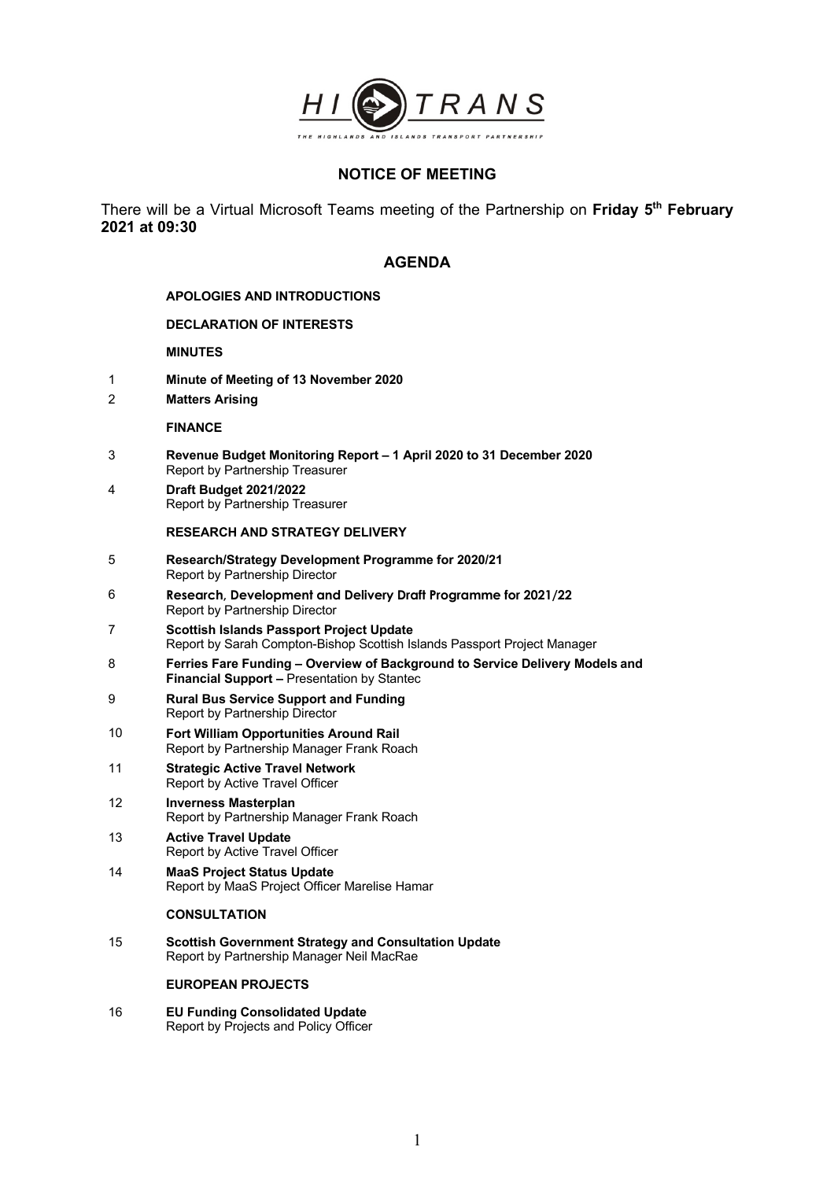

# **NOTICE OF MEETING**

There will be a Virtual Microsoft Teams meeting of the Partnership on **Friday 5th February 2021 at 09:30**

## **AGENDA**

## **APOLOGIES AND INTRODUCTIONS**

## **DECLARATION OF INTERESTS**

## **MINUTES**

- 1 **Minute of Meeting of 13 November 2020**
- 2 **Matters Arising**

#### **FINANCE**

- 3 **Revenue Budget Monitoring Report – 1 April 2020 to 31 December 2020**  Report by Partnership Treasurer
- 4 **Draft Budget 2021/2022** Report by Partnership Treasurer

### **RESEARCH AND STRATEGY DELIVERY**

- 5 **Research/Strategy Development Programme for 2020/21**  Report by Partnership Director
- 6 **Research, Development and Delivery Draft Programme for 2021/22** Report by Partnership Director
- 7 **Scottish Islands Passport Project Update** Report by Sarah Compton-Bishop Scottish Islands Passport Project Manager
- 8 **Ferries Fare Funding – Overview of Background to Service Delivery Models and Financial Support –** Presentation by Stantec
- 9 **Rural Bus Service Support and Funding** Report by Partnership Director
- 10 **Fort William Opportunities Around Rail** Report by Partnership Manager Frank Roach
- 11 **Strategic Active Travel Network** Report by Active Travel Officer
- 12 **Inverness Masterplan** Report by Partnership Manager Frank Roach
- 13 **Active Travel Update** Report by Active Travel Officer
- 14 **MaaS Project Status Update** Report by MaaS Project Officer Marelise Hamar

### **CONSULTATION**

15 **Scottish Government Strategy and Consultation Update** Report by Partnership Manager Neil MacRae

#### **EUROPEAN PROJECTS**

16 **EU Funding Consolidated Update** Report by Projects and Policy Officer